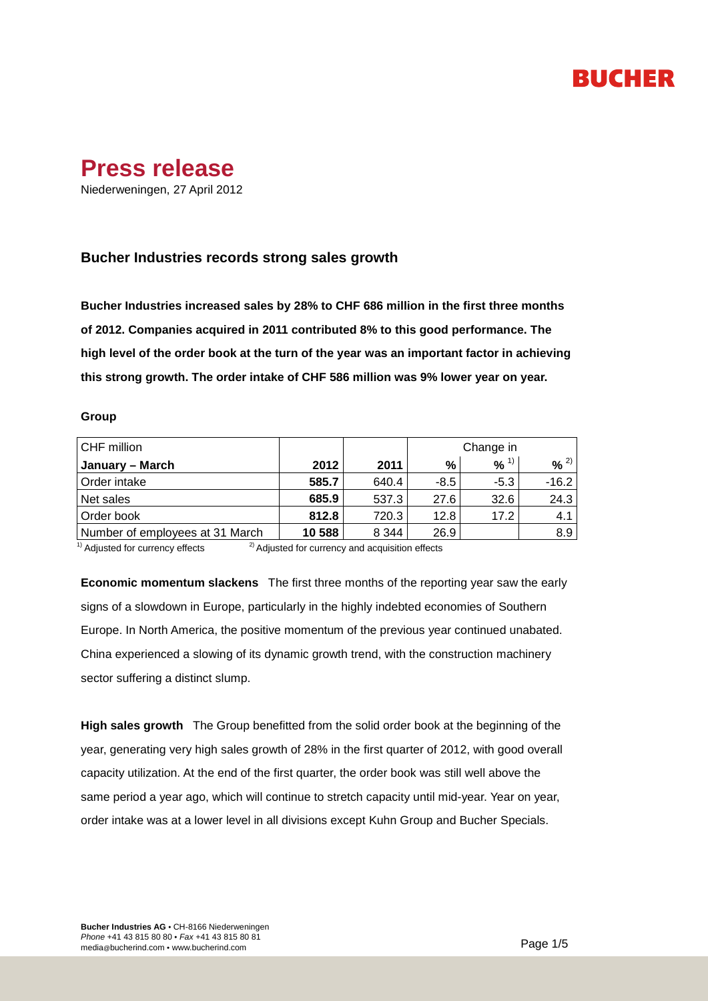## RUCHER



Niederweningen, 27 April 2012

## **Bucher Industries records strong sales growth**

**Bucher Industries increased sales by 28% to CHF 686 million in the first three months of 2012. Companies acquired in 2011 contributed 8% to this good performance. The high level of the order book at the turn of the year was an important factor in achieving this strong growth. The order intake of CHF 586 million was 9% lower year on year.**

#### **Group**

| CHF million                     |        |         | Change in |                     |          |
|---------------------------------|--------|---------|-----------|---------------------|----------|
| January – March                 | 2012   | 2011    | %         | $9/6$ <sup>1)</sup> | $% ^{2}$ |
| Order intake                    | 585.7  | 640.4   | $-8.5$    | $-5.3$              | $-16.2$  |
| Net sales                       | 685.9  | 537.3   | 27.6      | 32.6                | 24.3     |
| Order book                      | 812.8  | 720.3   | 12.8      | 17.2                | 4.1      |
| Number of employees at 31 March | 10 588 | 8 3 4 4 | 26.9      |                     | 8.9      |

 $1)$  Adjusted for currency effects  $2)$  Adjusted for currency and acquisition effects

**Economic momentum slackens** The first three months of the reporting year saw the early signs of a slowdown in Europe, particularly in the highly indebted economies of Southern Europe. In North America, the positive momentum of the previous year continued unabated. China experienced a slowing of its dynamic growth trend, with the construction machinery sector suffering a distinct slump.

**High sales growth** The Group benefitted from the solid order book at the beginning of the year, generating very high sales growth of 28% in the first quarter of 2012, with good overall capacity utilization. At the end of the first quarter, the order book was still well above the same period a year ago, which will continue to stretch capacity until mid-year. Year on year, order intake was at a lower level in all divisions except Kuhn Group and Bucher Specials.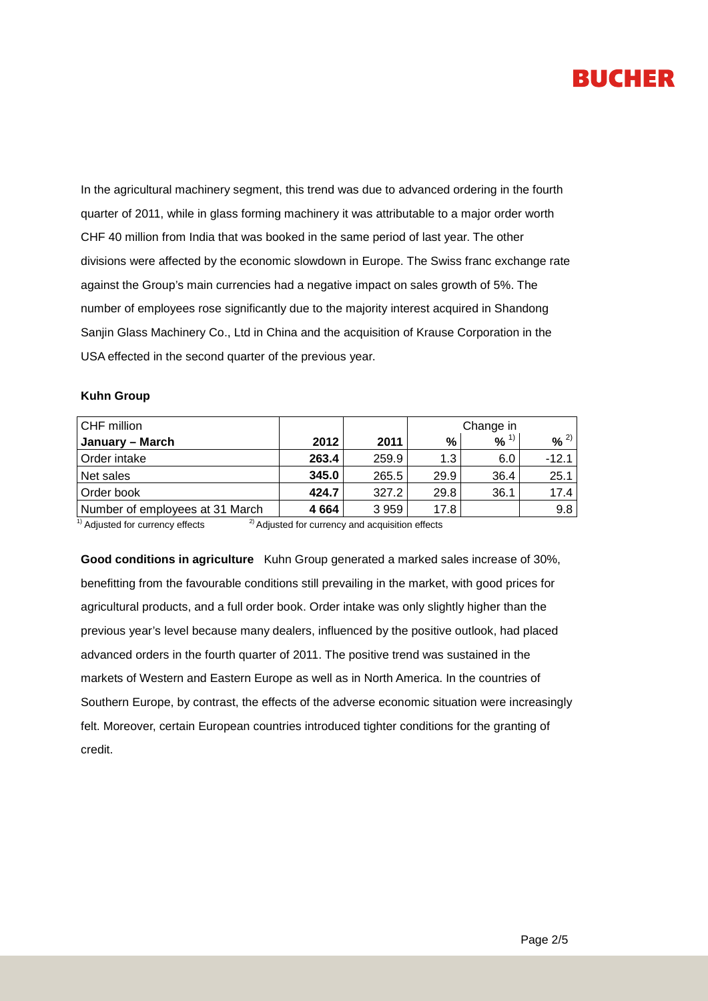

In the agricultural machinery segment, this trend was due to advanced ordering in the fourth quarter of 2011, while in glass forming machinery it was attributable to a major order worth CHF 40 million from India that was booked in the same period of last year. The other divisions were affected by the economic slowdown in Europe. The Swiss franc exchange rate against the Group's main currencies had a negative impact on sales growth of 5%. The number of employees rose significantly due to the majority interest acquired in Shandong Sanjin Glass Machinery Co., Ltd in China and the acquisition of Krause Corporation in the USA effected in the second quarter of the previous year.

#### **Kuhn Group**

| CHF million                     |         |       | Change in |          |          |
|---------------------------------|---------|-------|-----------|----------|----------|
| January – March                 | 2012    | 2011  | %         | $% ^{1}$ | $% ^{2}$ |
| Order intake                    | 263.4   | 259.9 | 1.3       | 6.0      | $-12.1$  |
| Net sales                       | 345.0   | 265.5 | 29.9      | 36.4     | 25.1     |
| Order book                      | 424.7   | 327.2 | 29.8      | 36.1     | 17.4     |
| Number of employees at 31 March | 4 6 6 4 | 3959  | 17.8      |          | 9.8      |

 $1)$  Adjusted for currency effects  $2)$  Adjusted for currency and acquisition effects

**Good conditions in agriculture** Kuhn Group generated a marked sales increase of 30%, benefitting from the favourable conditions still prevailing in the market, with good prices for agricultural products, and a full order book. Order intake was only slightly higher than the previous year's level because many dealers, influenced by the positive outlook, had placed advanced orders in the fourth quarter of 2011. The positive trend was sustained in the markets of Western and Eastern Europe as well as in North America. In the countries of Southern Europe, by contrast, the effects of the adverse economic situation were increasingly felt. Moreover, certain European countries introduced tighter conditions for the granting of credit.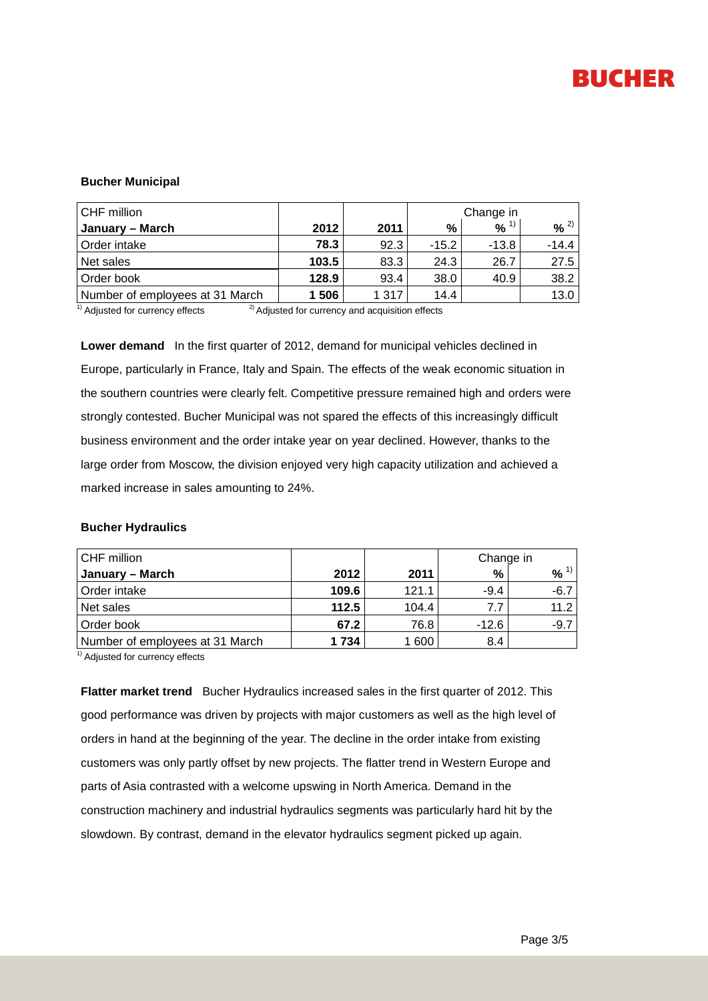

### **Bucher Municipal**

| CHF million                     |       |       | Change in |                     |          |
|---------------------------------|-------|-------|-----------|---------------------|----------|
| January – March                 | 2012  | 2011  | %         | $9/6$ <sup>1)</sup> | $% ^{2}$ |
| Order intake                    | 78.3  | 92.3  | $-15.2$   | $-13.8$             | $-14.4$  |
| Net sales                       | 103.5 | 83.3  | 24.3      | 26.7                | 27.5     |
| Order book                      | 128.9 | 93.4  | 38.0      | 40.9                | 38.2     |
| Number of employees at 31 March | 1 506 | 1 317 | 14.4      |                     | 13.0     |

 $1)$  Adjusted for currency effects  $2)$  Adjusted for currency and acquisition effects

**Lower demand** In the first quarter of 2012, demand for municipal vehicles declined in Europe, particularly in France, Italy and Spain. The effects of the weak economic situation in the southern countries were clearly felt. Competitive pressure remained high and orders were strongly contested. Bucher Municipal was not spared the effects of this increasingly difficult business environment and the order intake year on year declined. However, thanks to the large order from Moscow, the division enjoyed very high capacity utilization and achieved a marked increase in sales amounting to 24%.

### **Bucher Hydraulics**

| CHF million                     |       |       | Change in |           |  |
|---------------------------------|-------|-------|-----------|-----------|--|
| January – March                 | 2012  | 2011  | %         | $96^{11}$ |  |
| Order intake                    | 109.6 | 121.1 | $-9.4$    | $-6.7$    |  |
| Net sales                       | 112.5 | 104.4 | 7.7       | 11.2      |  |
| Order book                      | 67.2  | 76.8  | $-12.6$   | $-9.7$    |  |
| Number of employees at 31 March | 1734  | 1 600 | 8.4       |           |  |

<sup>1)</sup> Adjusted for currency effects

**Flatter market trend** Bucher Hydraulics increased sales in the first quarter of 2012. This good performance was driven by projects with major customers as well as the high level of orders in hand at the beginning of the year. The decline in the order intake from existing customers was only partly offset by new projects. The flatter trend in Western Europe and parts of Asia contrasted with a welcome upswing in North America. Demand in the construction machinery and industrial hydraulics segments was particularly hard hit by the slowdown. By contrast, demand in the elevator hydraulics segment picked up again.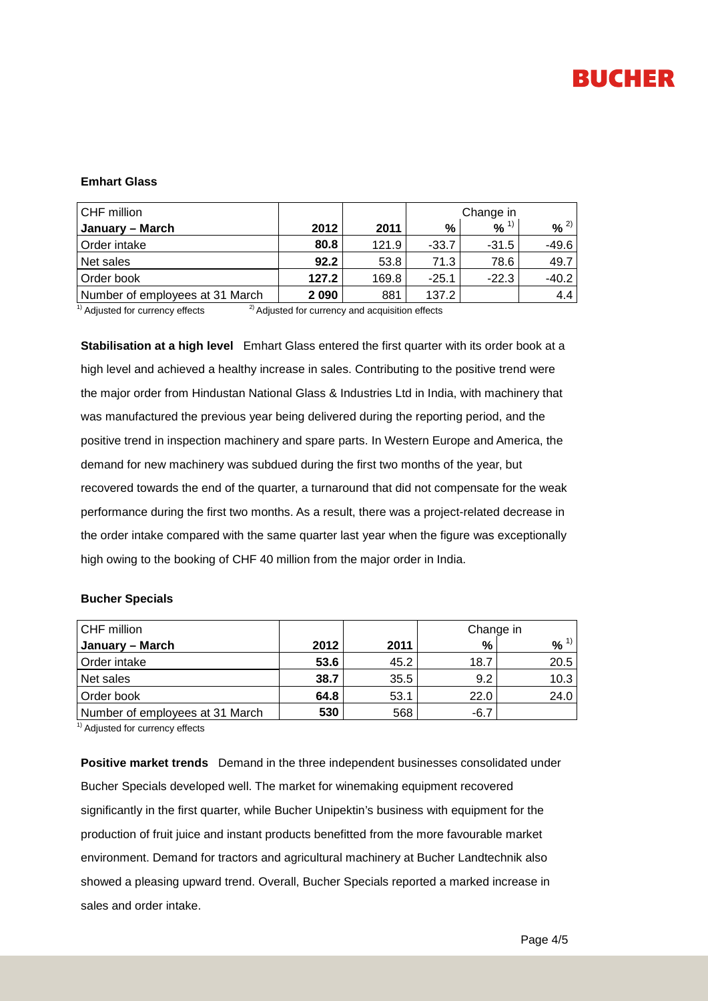# **BUCHER**

### **Emhart Glass**

| CHF million                     |         |       | Change in |          |          |
|---------------------------------|---------|-------|-----------|----------|----------|
| January – March                 | 2012    | 2011  | %         | $% ^{1}$ | $% ^{2}$ |
| Order intake                    | 80.8    | 121.9 | $-33.7$   | $-31.5$  | $-49.6$  |
| Net sales                       | 92.2    | 53.8  | 71.3      | 78.6     | 49.7     |
| Order book                      | 127.2   | 169.8 | $-25.1$   | $-22.3$  | $-40.2$  |
| Number of employees at 31 March | 2 0 9 0 | 881   | 137.2     |          | 4.4      |

<sup>1)</sup> Adjusted for currency effects  $^{2)}$  Adjusted for currency and acquisition effects

**Stabilisation at a high level** Emhart Glass entered the first quarter with its order book at a high level and achieved a healthy increase in sales. Contributing to the positive trend were the major order from Hindustan National Glass & Industries Ltd in India, with machinery that was manufactured the previous year being delivered during the reporting period, and the positive trend in inspection machinery and spare parts. In Western Europe and America, the demand for new machinery was subdued during the first two months of the year, but recovered towards the end of the quarter, a turnaround that did not compensate for the weak performance during the first two months. As a result, there was a project-related decrease in the order intake compared with the same quarter last year when the figure was exceptionally high owing to the booking of CHF 40 million from the major order in India.

#### **Bucher Specials**

| CHF million                     |      |      | Change in |          |  |
|---------------------------------|------|------|-----------|----------|--|
| January – March                 | 2012 | 2011 | %         | $% ^{1}$ |  |
| Order intake                    | 53.6 | 45.2 | 18.7      | 20.5     |  |
| Net sales                       | 38.7 | 35.5 | 9.2       | 10.3     |  |
| Order book                      | 64.8 | 53.1 | 22.0      | 24.0     |  |
| Number of employees at 31 March | 530  | 568  | $-6.7$    |          |  |

<sup>1)</sup> Adjusted for currency effects

**Positive market trends** Demand in the three independent businesses consolidated under Bucher Specials developed well. The market for winemaking equipment recovered significantly in the first quarter, while Bucher Unipektin's business with equipment for the production of fruit juice and instant products benefitted from the more favourable market environment. Demand for tractors and agricultural machinery at Bucher Landtechnik also showed a pleasing upward trend. Overall, Bucher Specials reported a marked increase in sales and order intake.